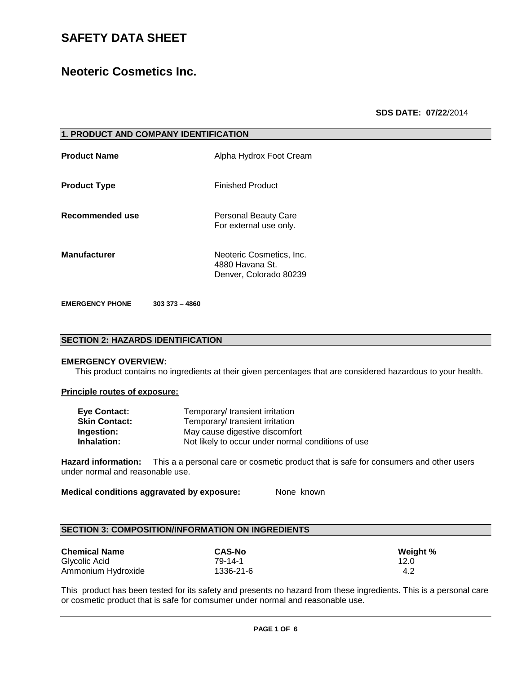# **Neoteric Cosmetics Inc.**

## **SDS DATE: 07/22**/2014

| <b>1. PRODUCT AND COMPANY IDENTIFICATION</b> |                                                                       |
|----------------------------------------------|-----------------------------------------------------------------------|
| <b>Product Name</b>                          | Alpha Hydrox Foot Cream                                               |
| <b>Product Type</b>                          | <b>Finished Product</b>                                               |
| Recommended use                              | <b>Personal Beauty Care</b><br>For external use only.                 |
| <b>Manufacturer</b>                          | Neoteric Cosmetics, Inc.<br>4880 Havana St.<br>Denver, Colorado 80239 |

**EMERGENCY PHONE 303 373 – 4860** 

### **SECTION 2: HAZARDS IDENTIFICATION**

### **EMERGENCY OVERVIEW:**

This product contains no ingredients at their given percentages that are considered hazardous to your health.

### **Principle routes of exposure:**

| Eye Contact:         | Temporary/ transient irritation                    |
|----------------------|----------------------------------------------------|
| <b>Skin Contact:</b> | Temporary/ transient irritation                    |
| Ingestion:           | May cause digestive discomfort                     |
| Inhalation:          | Not likely to occur under normal conditions of use |

**Hazard information:** This a a personal care or cosmetic product that is safe for consumers and other users under normal and reasonable use.

**Medical conditions aggravated by exposure:** None known

## **SECTION 3: COMPOSITION/INFORMATION ON INGREDIENTS**

| <b>Chemical Name</b> | <b>CAS-No</b> | Weight % |
|----------------------|---------------|----------|
| Glycolic Acid        | 79-14-1       | 12.0     |
| Ammonium Hydroxide   | 1336-21-6     | 4.2      |

This product has been tested for its safety and presents no hazard from these ingredients. This is a personal care or cosmetic product that is safe for comsumer under normal and reasonable use.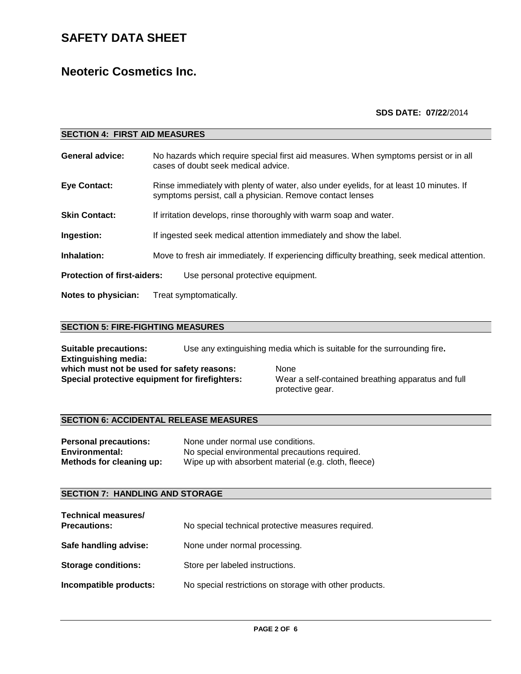# **Neoteric Cosmetics Inc.**

## **SDS DATE: 07/22**/2014

| <b>SECTION 4: FIRST AID MEASURES</b> |                                                                                                                                                      |
|--------------------------------------|------------------------------------------------------------------------------------------------------------------------------------------------------|
| General advice:                      | No hazards which require special first aid measures. When symptoms persist or in all<br>cases of doubt seek medical advice.                          |
| Eye Contact:                         | Rinse immediately with plenty of water, also under eyelids, for at least 10 minutes. If<br>symptoms persist, call a physician. Remove contact lenses |
| <b>Skin Contact:</b>                 | If irritation develops, rinse thoroughly with warm soap and water.                                                                                   |
| Ingestion:                           | If ingested seek medical attention immediately and show the label.                                                                                   |
| <b>Inhalation:</b>                   | Move to fresh air immediately. If experiencing difficulty breathing, seek medical attention.                                                         |
| <b>Protection of first-aiders:</b>   | Use personal protective equipment.                                                                                                                   |
| Notes to physician:                  | Treat symptomatically.                                                                                                                               |

## **SECTION 5: FIRE-FIGHTING MEASURES**

**Suitable precautions:** Use any extinguishing media which is suitable for the surrounding fire**. Extinguishing media:** which must not be used for safety reasons: None<br>
Special protective equipment for firefighters: Wear Wear a self-contained breathing apparatus and full protective gear.

### **SECTION 6: ACCIDENTAL RELEASE MEASURES**

| <b>Personal precautions:</b> | None under normal use conditions.                    |
|------------------------------|------------------------------------------------------|
| Environmental:               | No special environmental precautions required.       |
| Methods for cleaning up:     | Wipe up with absorbent material (e.g. cloth, fleece) |

# **SECTION 7: HANDLING AND STORAGE**

| Technical measures/<br><b>Precautions:</b> | No special technical protective measures required.      |
|--------------------------------------------|---------------------------------------------------------|
| Safe handling advise:                      | None under normal processing.                           |
| <b>Storage conditions:</b>                 | Store per labeled instructions.                         |
| Incompatible products:                     | No special restrictions on storage with other products. |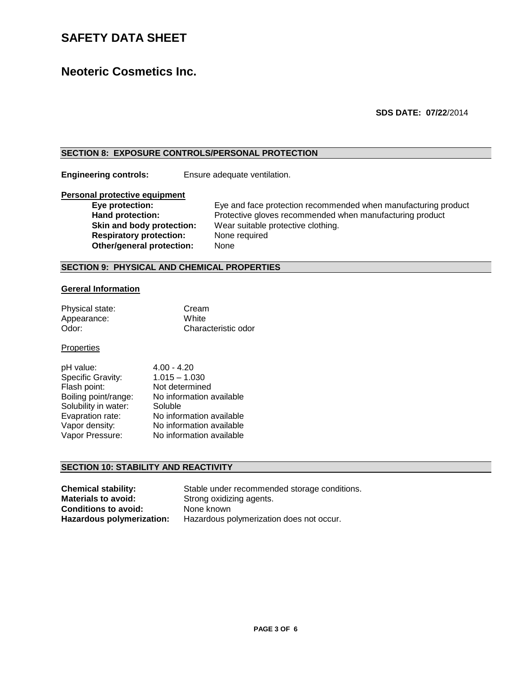# **Neoteric Cosmetics Inc.**

**SDS DATE: 07/22**/2014

## **SECTION 8: EXPOSURE CONTROLS/PERSONAL PROTECTION**

**Engineering controls:** Ensure adequate ventilation.

### **Personal protective equipment**

**Respiratory protection:** None required **Other/general protection:** None

**Eye protection:** Eye and face protection recommended when manufacturing product Hand protection: Protective gloves recommended when manufacturing product **Skin and body protection:** Wear suitable protective clothing.

## **SECTION 9: PHYSICAL AND CHEMICAL PROPERTIES**

#### **Gereral Information**

| Physical state: | Cream               |
|-----------------|---------------------|
| Appearance:     | White               |
| Odor:           | Characteristic odor |

### **Properties**

| pH value:            | $4.00 - 4.20$            |
|----------------------|--------------------------|
| Specific Gravity:    | $1.015 - 1.030$          |
| Flash point:         | Not determined           |
| Boiling point/range: | No information available |
| Solubility in water: | Soluble                  |
| Evapration rate:     | No information available |
| Vapor density:       | No information available |
| Vapor Pressure:      | No information available |
|                      |                          |

### **SECTION 10: STABILITY AND REACTIVITY**

| <b>Chemical stability:</b>       | Stable under recommended storage conditions. |
|----------------------------------|----------------------------------------------|
| <b>Materials to avoid:</b>       | Strong oxidizing agents.                     |
| <b>Conditions to avoid:</b>      | None known                                   |
| <b>Hazardous polymerization:</b> | Hazardous polymerization does not occur.     |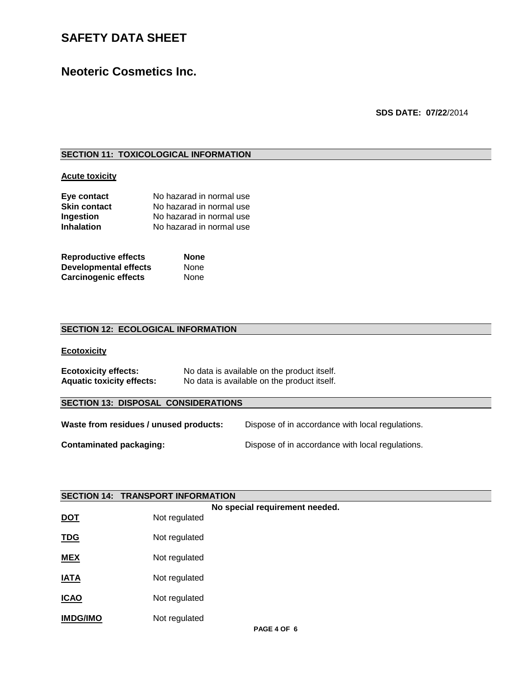# **Neoteric Cosmetics Inc.**

**SDS DATE: 07/22**/2014

## **SECTION 11: TOXICOLOGICAL INFORMATION**

### **Acute toxicity**

| Eye contact         | No hazarad in normal use |
|---------------------|--------------------------|
| <b>Skin contact</b> | No hazarad in normal use |
| Ingestion           | No hazarad in normal use |
| <b>Inhalation</b>   | No hazarad in normal use |
|                     |                          |
|                     |                          |

| <b>Reproductive effects</b>  | None |
|------------------------------|------|
| <b>Developmental effects</b> | None |
| <b>Carcinogenic effects</b>  | None |

## **SECTION 12: ECOLOGICAL INFORMATION**

### **Ecotoxicity**

| <b>Ecotoxicity effects:</b>      | No data is available on the product itself. |
|----------------------------------|---------------------------------------------|
| <b>Aquatic toxicity effects:</b> | No data is available on the product itself. |

## **SECTION 13: DISPOSAL CONSIDERATIONS**

| Waste from residues / unused products: | Dispose of in accordance with local regulations. |
|----------------------------------------|--------------------------------------------------|
| <b>Contaminated packaging:</b>         | Dispose of in accordance with local regulations. |

|                 | <b>SECTION 14: TRANSPORT INFORMATION</b> |                                |
|-----------------|------------------------------------------|--------------------------------|
|                 |                                          | No special requirement needed. |
| <b>DOT</b>      | Not regulated                            |                                |
| <b>TDG</b>      | Not regulated                            |                                |
| <b>MEX</b>      | Not regulated                            |                                |
| <u>IATA</u>     | Not regulated                            |                                |
| <b>ICAO</b>     | Not regulated                            |                                |
| <b>IMDG/IMO</b> | Not regulated                            |                                |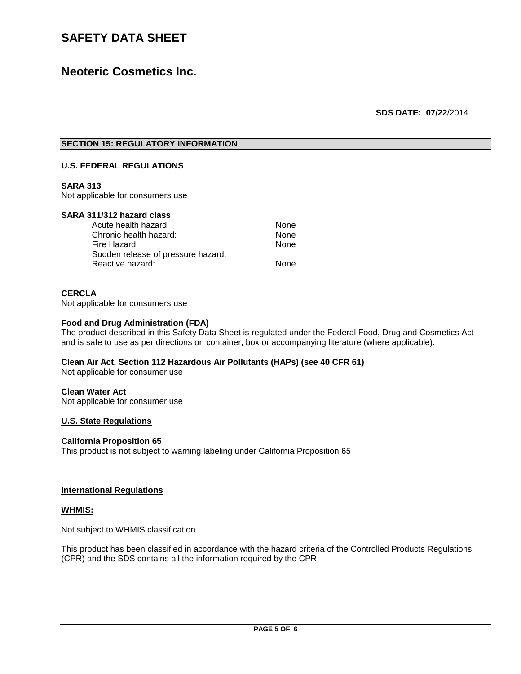# **Neoteric Cosmetics Inc.**

## **SDS DATE: 07/22**/2014

### **SECTION 15: REGULATORY INFORMATION**

### **U.S. FEDERAL REGULATIONS**

#### **SARA 313**

Not applicable for consumers use

### **SARA 311/312 hazard class**

| Acute health hazard:               | None |
|------------------------------------|------|
| Chronic health hazard:             | None |
| Fire Hazard:                       | None |
| Sudden release of pressure hazard: |      |
| Reactive hazard:                   | None |

### **CERCLA**

Not applicable for consumers use

### **Food and Drug Administration (FDA)**

The product described in this Safety Data Sheet is regulated under the Federal Food, Drug and Cosmetics Act and is safe to use as per directions on container, box or accompanying literature (where applicable).

### **Clean Air Act, Section 112 Hazardous Air Pollutants (HAPs) (see 40 CFR 61)**

Not applicable for consumer use

#### **Clean Water Act**

Not applicable for consumer use

## **U.S. State Regulations**

### **California Proposition 65**

This product is not subject to warning labeling under California Proposition 65

#### **International Regulations**

### **WHMIS:**

Not subject to WHMIS classification

This product has been classified in accordance with the hazard criteria of the Controlled Products Regulations (CPR) and the SDS contains all the information required by the CPR.